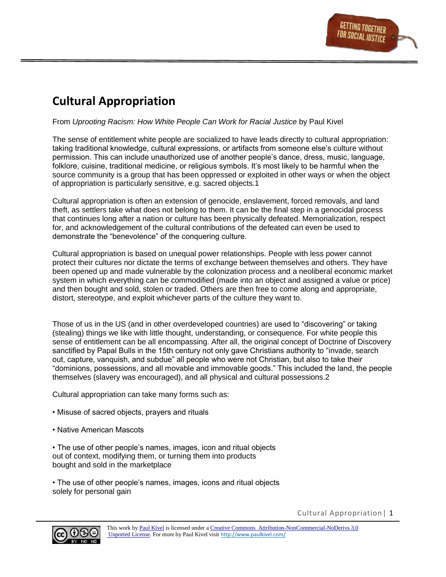

## **Cultural Appropriation**

From *Uprooting Racism: How White People Can Work for Racial Justice* by Paul Kivel

The sense of entitlement white people are socialized to have leads directly to cultural appropriation: taking traditional knowledge, cultural expressions, or artifacts from someone else's culture without permission. This can include unauthorized use of another people's dance, dress, music, language, folklore, cuisine, traditional medicine, or religious symbols. It's most likely to be harmful when the source community is a group that has been oppressed or exploited in other ways or when the object of appropriation is particularly sensitive, e.g. sacred objects.1

Cultural appropriation is often an extension of genocide, enslavement, forced removals, and land theft, as settlers take what does not belong to them. It can be the final step in a genocidal process that continues long after a nation or culture has been physically defeated. Memorialization, respect for, and acknowledgement of the cultural contributions of the defeated can even be used to demonstrate the "benevolence" of the conquering culture.

Cultural appropriation is based on unequal power relationships. People with less power cannot protect their cultures nor dictate the terms of exchange between themselves and others. They have been opened up and made vulnerable by the colonization process and a neoliberal economic market system in which everything can be commodified (made into an object and assigned a value or price) and then bought and sold, stolen or traded. Others are then free to come along and appropriate, distort, stereotype, and exploit whichever parts of the culture they want to.

Those of us in the US (and in other overdeveloped countries) are used to "discovering" or taking (stealing) things we like with little thought, understanding, or consequence. For white people this sense of entitlement can be all encompassing. After all, the original concept of Doctrine of Discovery sanctified by Papal Bulls in the 15th century not only gave Christians authority to "invade, search out, capture, vanquish, and subdue" all people who were not Christian, but also to take their "dominions, possessions, and all movable and immovable goods." This included the land, the people themselves (slavery was encouraged), and all physical and cultural possessions.2

Cultural appropriation can take many forms such as:

- Misuse of sacred objects, prayers and rituals
- Native American Mascots

• The use of other people's names, images, icon and ritual objects out of context, modifying them, or turning them into products bought and sold in the marketplace

• The use of other people's names, images, icons and ritual objects solely for personal gain

Cultural Appropriation| 1

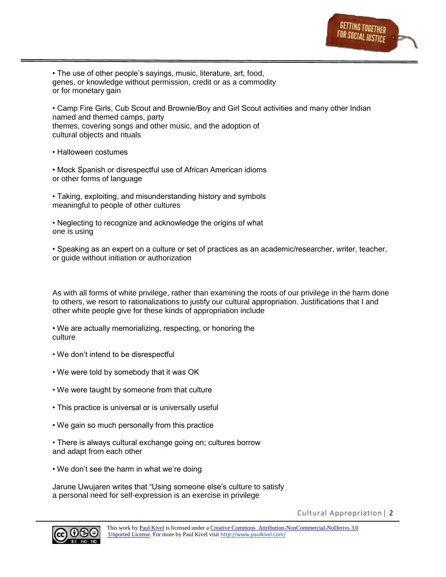

• The use of other people's sayings, music, literature, art, food, genes, or knowledge without permission, credit or as a commodity or for monetary gain

• Camp Fire Girls, Cub Scout and Brownie/Boy and Girl Scout activities and many other Indian named and themed camps, party themes, covering songs and other music, and the adoption of cultural objects and rituals

• Halloween costumes

• Mock Spanish or disrespectful use of African American idioms or other forms of language

• Taking, exploiting, and misunderstanding history and symbols meaningful to people of other cultures

• Neglecting to recognize and acknowledge the origins of what one is using

• Speaking as an expert on a culture or set of practices as an academic/researcher, writer, teacher, or guide without initiation or authorization

As with all forms of white privilege, rather than examining the roots of our privilege in the harm done to others, we resort to rationalizations to justify our cultural appropriation. Justifications that I and other white people give for these kinds of appropriation include

• We are actually memorializing, respecting, or honoring the culture

- We don't intend to be disrespectful
- We were told by somebody that it was OK
- We were taught by someone from that culture
- This practice is universal or is universally useful
- We gain so much personally from this practice

• There is always cultural exchange going on; cultures borrow and adapt from each other

• We don't see the harm in what we're doing

Jarune Uwujaren writes that "Using someone else's culture to satisfy a personal need for self-expression is an exercise in privilege

Cultural Appropriation| 2

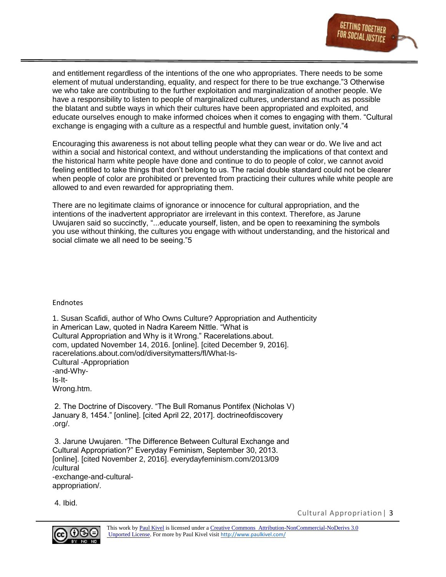

and entitlement regardless of the intentions of the one who appropriates. There needs to be some element of mutual understanding, equality, and respect for there to be true exchange."3 Otherwise we who take are contributing to the further exploitation and marginalization of another people. We have a responsibility to listen to people of marginalized cultures, understand as much as possible the blatant and subtle ways in which their cultures have been appropriated and exploited, and educate ourselves enough to make informed choices when it comes to engaging with them. "Cultural exchange is engaging with a culture as a respectful and humble guest, invitation only."4

Encouraging this awareness is not about telling people what they can wear or do. We live and act within a social and historical context, and without understanding the implications of that context and the historical harm white people have done and continue to do to people of color, we cannot avoid feeling entitled to take things that don't belong to us. The racial double standard could not be clearer when people of color are prohibited or prevented from practicing their cultures while white people are allowed to and even rewarded for appropriating them.

There are no legitimate claims of ignorance or innocence for cultural appropriation, and the intentions of the inadvertent appropriator are irrelevant in this context. Therefore, as Jarune Uwujaren said so succinctly, "...educate yourself, listen, and be open to reexamining the symbols you use without thinking, the cultures you engage with without understanding, and the historical and social climate we all need to be seeing."5

## Endnotes

1. Susan Scafidi, author of Who Owns Culture? Appropriation and Authenticity in American Law, quoted in Nadra Kareem Nittle. "What is Cultural Appropriation and Why is it Wrong." Racerelations.about. com, updated November 14, 2016. [online]. [cited December 9, 2016]. racerelations.about.com/od/diversitymatters/fl/What-Is-Cultural -Appropriation -and-Why-Is-It-Wrong.htm.

2. The Doctrine of Discovery. "The Bull Romanus Pontifex (Nicholas V) January 8, 1454." [online]. [cited April 22, 2017]. doctrineofdiscovery .org/.

3. Jarune Uwujaren. "The Difference Between Cultural Exchange and Cultural Appropriation?" Everyday Feminism, September 30, 2013. [online]. [cited November 2, 2016]. everydayfeminism.com/2013/09 /cultural -exchange-and-culturalappropriation/.

4. Ibid.

Cultural Appropriation| 3